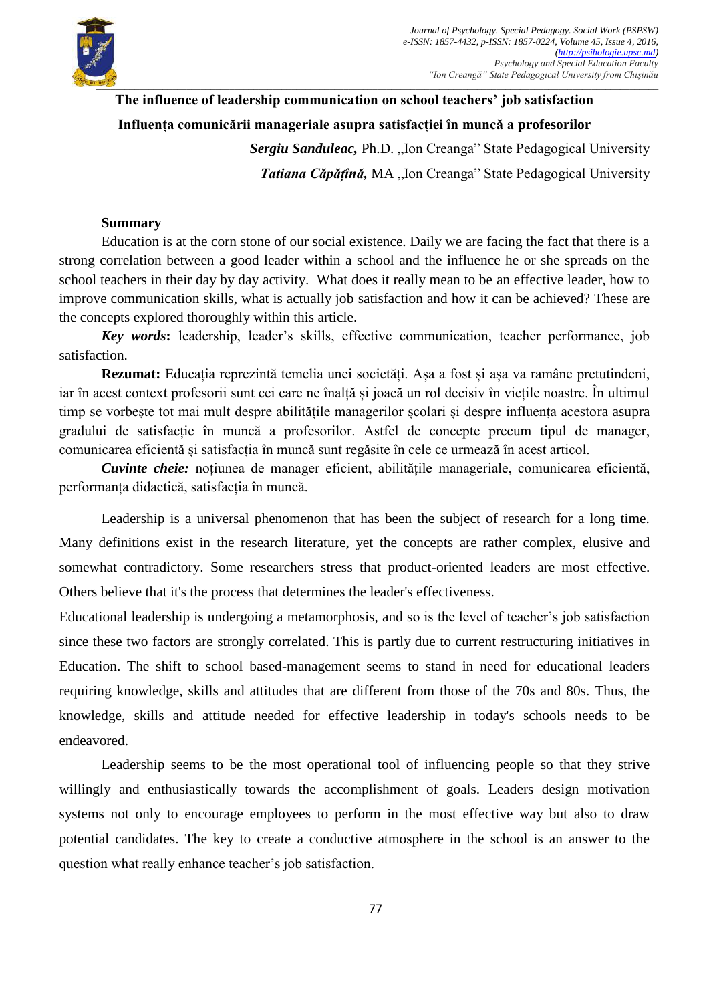

## **The influence of leadership communication on school teachers' job satisfaction**

## **Influența comunicării manageriale asupra satisfacției în muncă a profesorilor**

**Sergiu Sanduleac, Ph.D.** "Ion Creanga" State Pedagogical University **Tatiana Căpătînă, MA** "Ion Creanga" State Pedagogical University

## **Summary**

Education is at the corn stone of our social existence. Daily we are facing the fact that there is a strong correlation between a good leader within a school and the influence he or she spreads on the school teachers in their day by day activity. What does it really mean to be an effective leader, how to improve communication skills, what is actually job satisfaction and how it can be achieved? These are the concepts explored thoroughly within this article.

*Key words***:** leadership, leader's skills, effective communication, teacher performance, job satisfaction.

**Rezumat:** Educația reprezintă temelia unei societăți. Așa a fost și așa va ramâne pretutindeni, iar în acest context profesorii sunt cei care ne înalță și joacă un rol decisiv în viețile noastre. În ultimul timp se vorbește tot mai mult despre abilitățile managerilor școlari și despre influența acestora asupra gradului de satisfacție în muncă a profesorilor. Astfel de concepte precum tipul de manager, comunicarea eficientă și satisfacția în muncă sunt regăsite în cele ce urmează în acest articol.

*Cuvinte cheie:* noțiunea de manager eficient, abilitățile manageriale, comunicarea eficientă, performanța didactică, satisfacția în muncă.

Leadership is a universal phenomenon that has been the subject of research for a long time. Many definitions exist in the research literature, yet the concepts are rather complex, elusive and somewhat contradictory. Some researchers stress that product-oriented leaders are most effective. Others believe that it's the process that determines the leader's effectiveness.

Educational leadership is undergoing a metamorphosis, and so is the level of teacher's job satisfaction since these two factors are strongly correlated. This is partly due to current restructuring initiatives in Education. The shift to school based-management seems to stand in need for educational leaders requiring knowledge, skills and attitudes that are different from those of the 70s and 80s. Thus, the knowledge, skills and attitude needed for effective leadership in today's schools needs to be endeavored.

Leadership seems to be the most operational tool of influencing people so that they strive willingly and enthusiastically towards the accomplishment of goals. Leaders design motivation systems not only to encourage employees to perform in the most effective way but also to draw potential candidates. The key to create a conductive atmosphere in the school is an answer to the question what really enhance teacher's job satisfaction.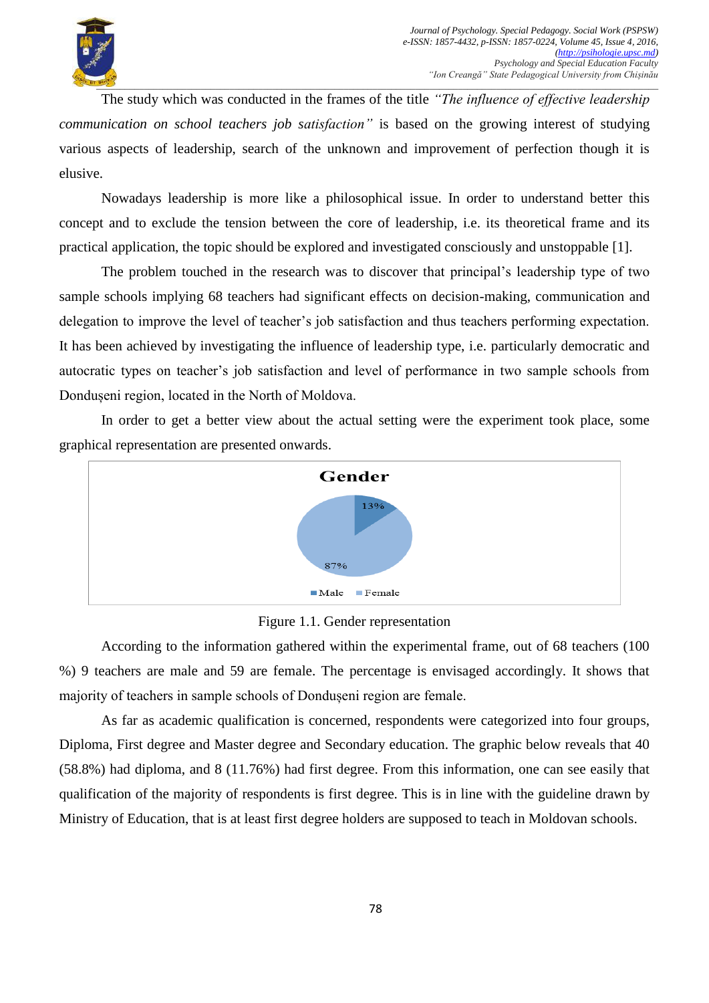

The study which was conducted in the frames of the title *"The influence of effective leadership communication on school teachers job satisfaction"* is based on the growing interest of studying various aspects of leadership, search of the unknown and improvement of perfection though it is elusive.

Nowadays leadership is more like a philosophical issue. In order to understand better this concept and to exclude the tension between the core of leadership, i.e. its theoretical frame and its practical application, the topic should be explored and investigated consciously and unstoppable [1].

The problem touched in the research was to discover that principal's leadership type of two sample schools implying 68 teachers had significant effects on decision-making, communication and delegation to improve the level of teacher's job satisfaction and thus teachers performing expectation. It has been achieved by investigating the influence of leadership type, i.e. particularly democratic and autocratic types on teacher's job satisfaction and level of performance in two sample schools from Dondușeni region, located in the North of Moldova.

In order to get a better view about the actual setting were the experiment took place, some graphical representation are presented onwards.



Figure 1.1. Gender representation

According to the information gathered within the experimental frame, out of 68 teachers (100 %) 9 teachers are male and 59 are female. The percentage is envisaged accordingly. It shows that majority of teachers in sample schools of Dondușeni region are female.

As far as academic qualification is concerned, respondents were categorized into four groups, Diploma, First degree and Master degree and Secondary education. The graphic below reveals that 40 (58.8%) had diploma, and 8 (11.76%) had first degree. From this information, one can see easily that qualification of the majority of respondents is first degree. This is in line with the guideline drawn by Ministry of Education, that is at least first degree holders are supposed to teach in Moldovan schools.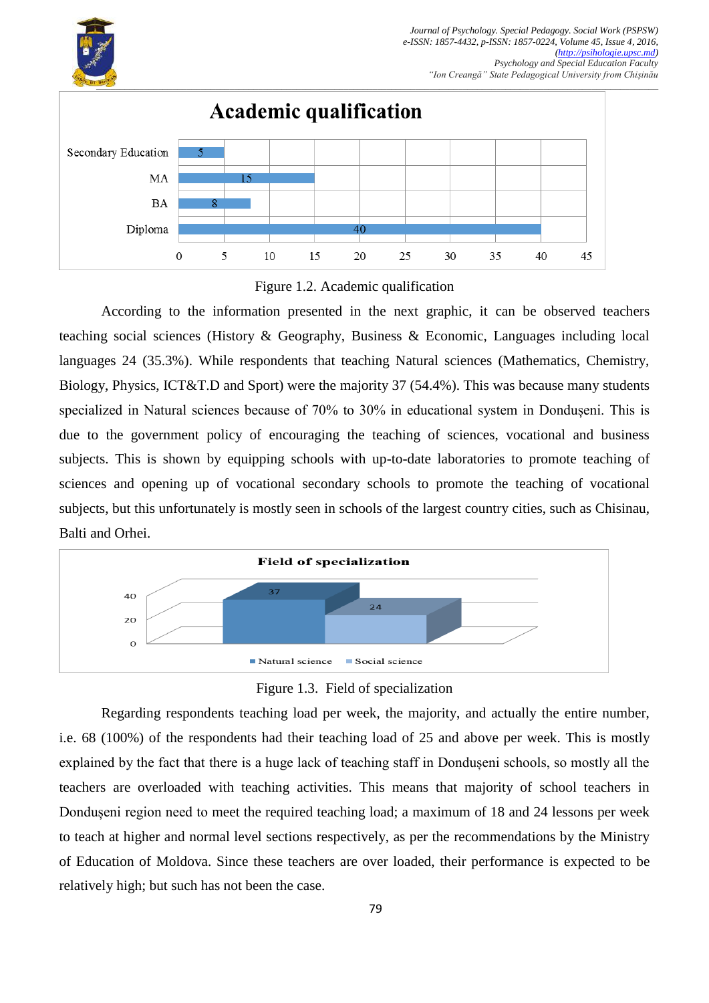



According to the information presented in the next graphic, it can be observed teachers teaching social sciences (History & Geography, Business & Economic, Languages including local languages 24 (35.3%). While respondents that teaching Natural sciences (Mathematics, Chemistry, Biology, Physics, ICT&T.D and Sport) were the majority 37 (54.4%). This was because many students specialized in Natural sciences because of 70% to 30% in educational system in Dondușeni. This is due to the government policy of encouraging the teaching of sciences, vocational and business subjects. This is shown by equipping schools with up-to-date laboratories to promote teaching of sciences and opening up of vocational secondary schools to promote the teaching of vocational subjects, but this unfortunately is mostly seen in schools of the largest country cities, such as Chisinau, Balti and Orhei.



Figure 1.3. Field of specialization

Regarding respondents teaching load per week, the majority, and actually the entire number, i.e. 68 (100%) of the respondents had their teaching load of 25 and above per week. This is mostly explained by the fact that there is a huge lack of teaching staff in Dondușeni schools, so mostly all the teachers are overloaded with teaching activities. This means that majority of school teachers in Dondușeni region need to meet the required teaching load; a maximum of 18 and 24 lessons per week to teach at higher and normal level sections respectively, as per the recommendations by the Ministry of Education of Moldova. Since these teachers are over loaded, their performance is expected to be relatively high; but such has not been the case.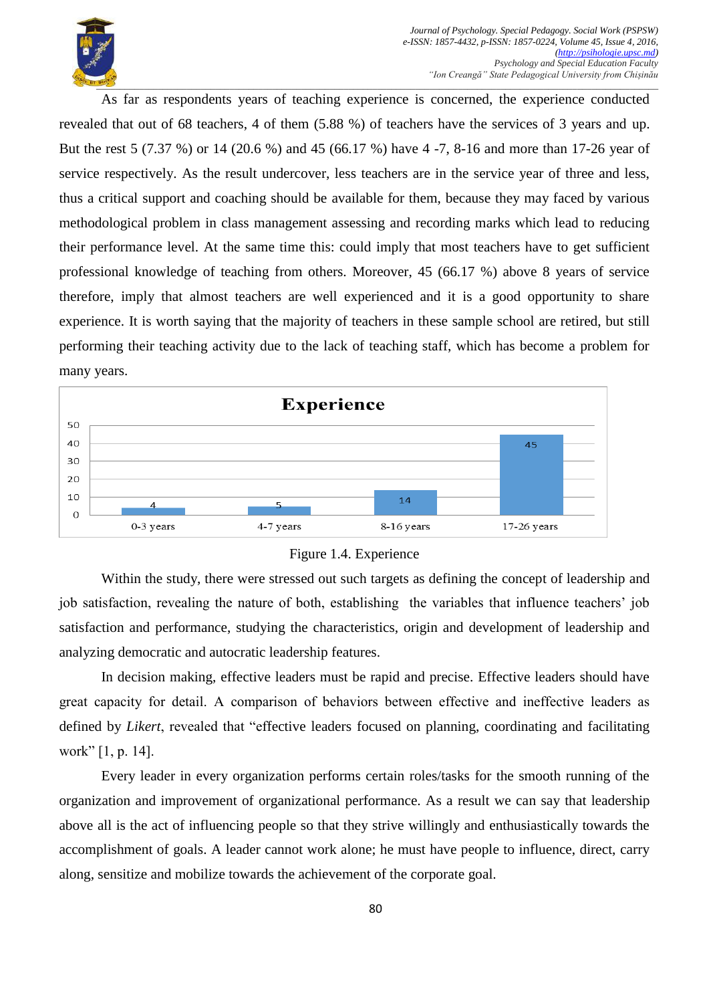

As far as respondents years of teaching experience is concerned, the experience conducted revealed that out of 68 teachers, 4 of them (5.88 %) of teachers have the services of 3 years and up. But the rest 5 (7.37 %) or 14 (20.6 %) and 45 (66.17 %) have 4 -7, 8-16 and more than 17-26 year of service respectively. As the result undercover, less teachers are in the service year of three and less, thus a critical support and coaching should be available for them, because they may faced by various methodological problem in class management assessing and recording marks which lead to reducing their performance level. At the same time this: could imply that most teachers have to get sufficient professional knowledge of teaching from others. Moreover, 45 (66.17 %) above 8 years of service therefore, imply that almost teachers are well experienced and it is a good opportunity to share experience. It is worth saying that the majority of teachers in these sample school are retired, but still performing their teaching activity due to the lack of teaching staff, which has become a problem for many years.





Within the study, there were stressed out such targets as defining the concept of leadership and job satisfaction, revealing the nature of both, establishing the variables that influence teachers' job satisfaction and performance, studying the characteristics, origin and development of leadership and analyzing democratic and autocratic leadership features.

In decision making, effective leaders must be rapid and precise. Effective leaders should have great capacity for detail. А comparison of behaviors between effective and ineffective leaders as defined by *Likert*, revealed that "effective leaders focused on planning, coordinating and facilitating work"  $[1, p. 14]$ .

Every leader in every organization performs certain roles/tasks for the smooth running of the organization and improvement of organizational performance. As a result we can say that leadership above all is the act of influencing people so that they strive willingly and enthusiastically towards the accomplishment of goals. A leader cannot work alone; he must have people to influence, direct, carry along, sensitize and mobilize towards the achievement of the corporate goal.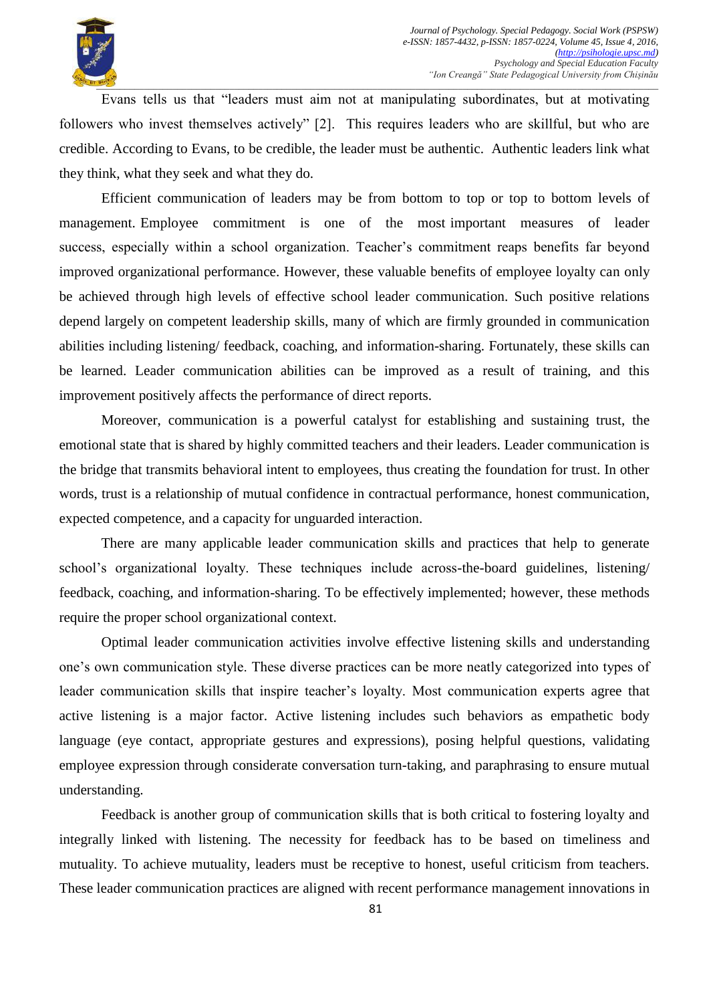

Evans tells us that "leaders must aim not at manipulating subordinates, but at motivating followers who invest themselves actively" [2]. This requires leaders who are skillful, but who are credible. According to Evans, to be credible, the leader must be authentic. Authentic leaders link what they think, what they seek and what they do.

Efficient communication of leaders may be from bottom to top or top to bottom levels of management. Employee commitment is one of the most important measures of leader success, especially within a school organization. Teacher's commitment reaps benefits far beyond improved organizational performance. However, these valuable benefits of employee loyalty can only be achieved through high levels of effective school leader communication. Such positive relations depend largely on competent leadership skills, many of which are firmly grounded in communication abilities including listening/ feedback, coaching, and information-sharing. Fortunately, these skills can be learned. Leader communication abilities can be improved as a result of training, and this improvement positively affects the performance of direct reports.

Moreover, communication is a powerful catalyst for establishing and sustaining trust, the emotional state that is shared by highly committed teachers and their leaders. Leader communication is the bridge that transmits behavioral intent to employees, thus creating the foundation for trust. In other words, trust is a relationship of mutual confidence in contractual performance, honest communication, expected competence, and a capacity for unguarded interaction.

There are many applicable leader communication skills and practices that help to generate school's organizational loyalty. These techniques include across-the-board guidelines, listening/ feedback, coaching, and information-sharing. To be effectively implemented; however, these methods require the proper school organizational context.

Optimal leader communication activities involve effective listening skills and understanding one's own communication style. These diverse practices can be more neatly categorized into types of leader communication skills that inspire teacher's loyalty. Most communication experts agree that active listening is a major factor. Active listening includes such behaviors as empathetic body language (eye contact, appropriate gestures and expressions), posing helpful questions, validating employee expression through considerate conversation turn-taking, and paraphrasing to ensure mutual understanding.

Feedback is another group of communication skills that is both critical to fostering loyalty and integrally linked with listening. The necessity for feedback has to be based on timeliness and mutuality. To achieve mutuality, leaders must be receptive to honest, useful criticism from teachers. These leader communication practices are aligned with recent performance management innovations in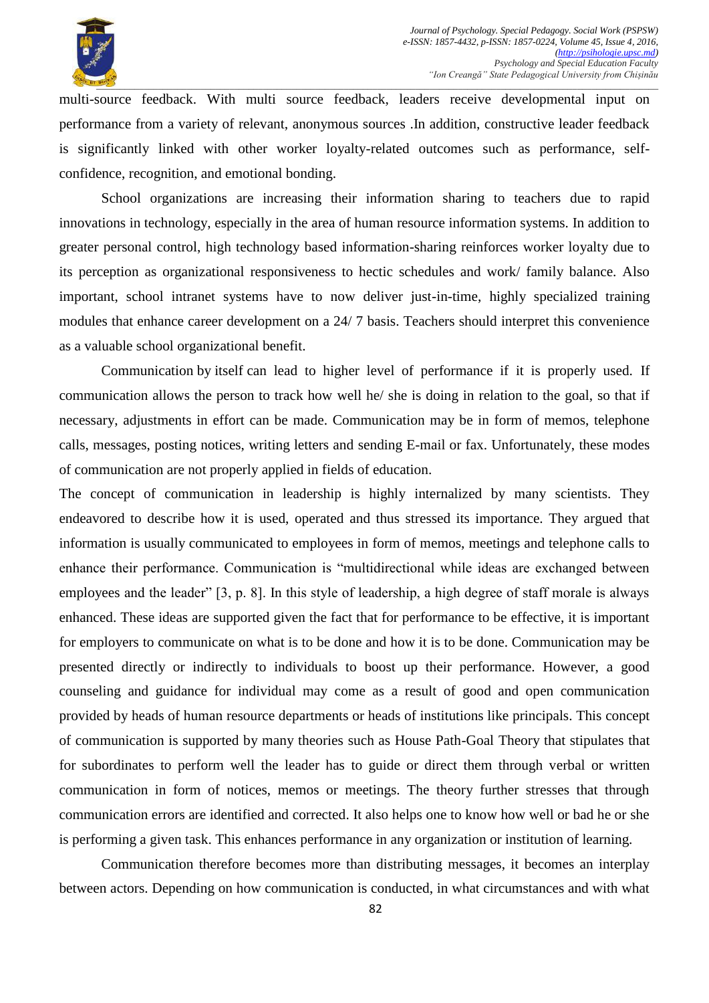

multi-source feedback. With multi source feedback, leaders receive developmental input on performance from a variety of relevant, anonymous sources .In addition, constructive leader feedback is significantly linked with other worker loyalty-related outcomes such as performance, selfconfidence, recognition, and emotional bonding.

School organizations are increasing their information sharing to teachers due to rapid innovations in technology, especially in the area of human resource information systems. In addition to greater personal control, high technology based information-sharing reinforces worker loyalty due to its perception as organizational responsiveness to hectic schedules and work/ family balance. Also important, school intranet systems have to now deliver just-in-time, highly specialized training modules that enhance career development on a 24/ 7 basis. Teachers should interpret this convenience as a valuable school organizational benefit.

Communication by itself can lead to higher level of performance if it is properly used. If communication allows the person to track how well he/ she is doing in relation to the goal, so that if necessary, adjustments in effort can be made. Communication may be in form of memos, telephone calls, messages, posting notices, writing letters and sending E-mail or fax. Unfortunately, these modes of communication are not properly applied in fields of education.

The concept of communication in leadership is highly internalized by many scientists. They endeavored to describe how it is used, operated and thus stressed its importance. They argued that information is usually communicated to employees in form of memos, meetings and telephone calls to enhance their performance. Communication is "multidirectional while ideas are exchanged between employees and the leader"  $[3, p. 8]$ . In this style of leadership, a high degree of staff morale is always enhanced. These ideas are supported given the fact that for performance to be effective, it is important for employers to communicate on what is to be done and how it is to be done. Communication may be presented directly or indirectly to individuals to boost up their performance. However, a good counseling and guidance for individual may come as a result of good and open communication provided by heads of human resource departments or heads of institutions like principals. This concept of communication is supported by many theories such as House Path-Goal Theory that stipulates that for subordinates to perform well the leader has to guide or direct them through verbal or written communication in form of notices, memos or meetings. The theory further stresses that through communication errors are identified and corrected. It also helps one to know how well or bad he or she is performing a given task. This enhances performance in any organization or institution of learning.

Communication therefore becomes more than distributing messages, it becomes an interplay between actors. Depending on how communication is conducted, in what circumstances and with what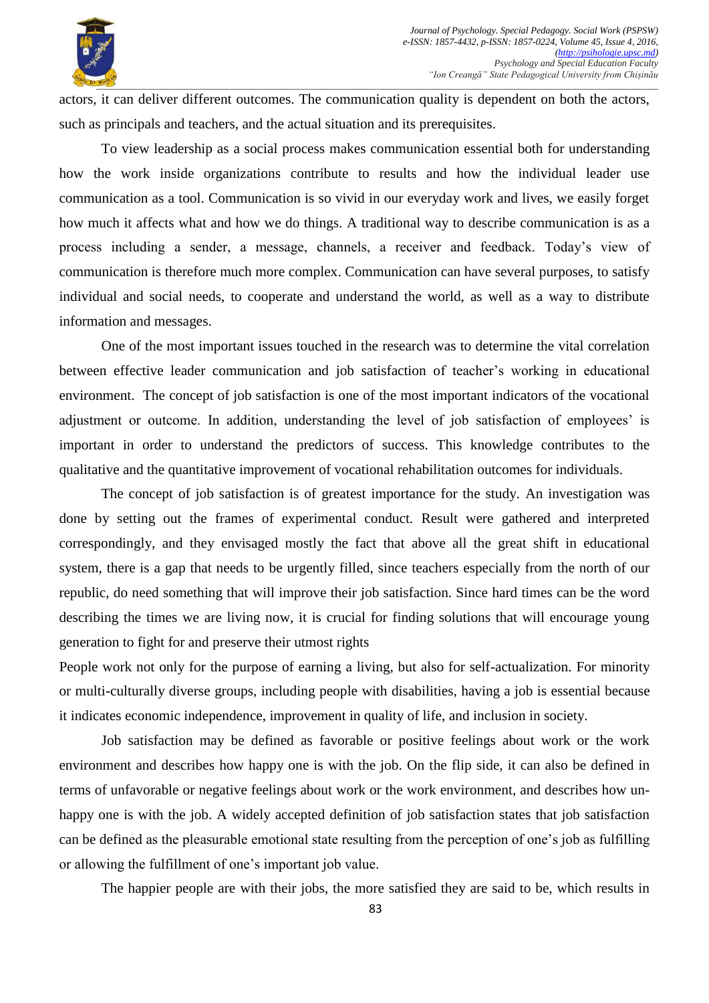

actors, it can deliver different outcomes. The communication quality is dependent on both the actors, such as principals and teachers, and the actual situation and its prerequisites.

To view leadership as a social process makes communication essential both for understanding how the work inside organizations contribute to results and how the individual leader use communication as a tool. Communication is so vivid in our everyday work and lives, we easily forget how much it affects what and how we do things. A traditional way to describe communication is as a process including a sender, a message, channels, a receiver and feedback. Today's view of communication is therefore much more complex. Communication can have several purposes, to satisfy individual and social needs, to cooperate and understand the world, as well as a way to distribute information and messages.

One of the most important issues touched in the research was to determine the vital correlation between effective leader communication and job satisfaction of teacher's working in educational environment. The concept of job satisfaction is one of the most important indicators of the vocational adjustment or outcome. In addition, understanding the level of job satisfaction of employees' is important in order to understand the predictors of success. This knowledge contributes to the qualitative and the quantitative improvement of vocational rehabilitation outcomes for individuals.

The concept of job satisfaction is of greatest importance for the study. An investigation was done by setting out the frames of experimental conduct. Result were gathered and interpreted correspondingly, and they envisaged mostly the fact that above all the great shift in educational system, there is a gap that needs to be urgently filled, since teachers especially from the north of our republic, do need something that will improve their job satisfaction. Since hard times can be the word describing the times we are living now, it is crucial for finding solutions that will encourage young generation to fight for and preserve their utmost rights

People work not only for the purpose of earning a living, but also for self-actualization. For minority or multi-culturally diverse groups, including people with disabilities, having a job is essential because it indicates economic independence, improvement in quality of life, and inclusion in society.

Job satisfaction may be defined as favorable or positive feelings about work or the work environment and describes how happy one is with the job. On the flip side, it can also be defined in terms of unfavorable or negative feelings about work or the work environment, and describes how unhappy one is with the job. A widely accepted definition of job satisfaction states that job satisfaction can be defined as the pleasurable emotional state resulting from the perception of one's job as fulfilling or allowing the fulfillment of one's important job value.

The happier people are with their jobs, the more satisfied they are said to be, which results in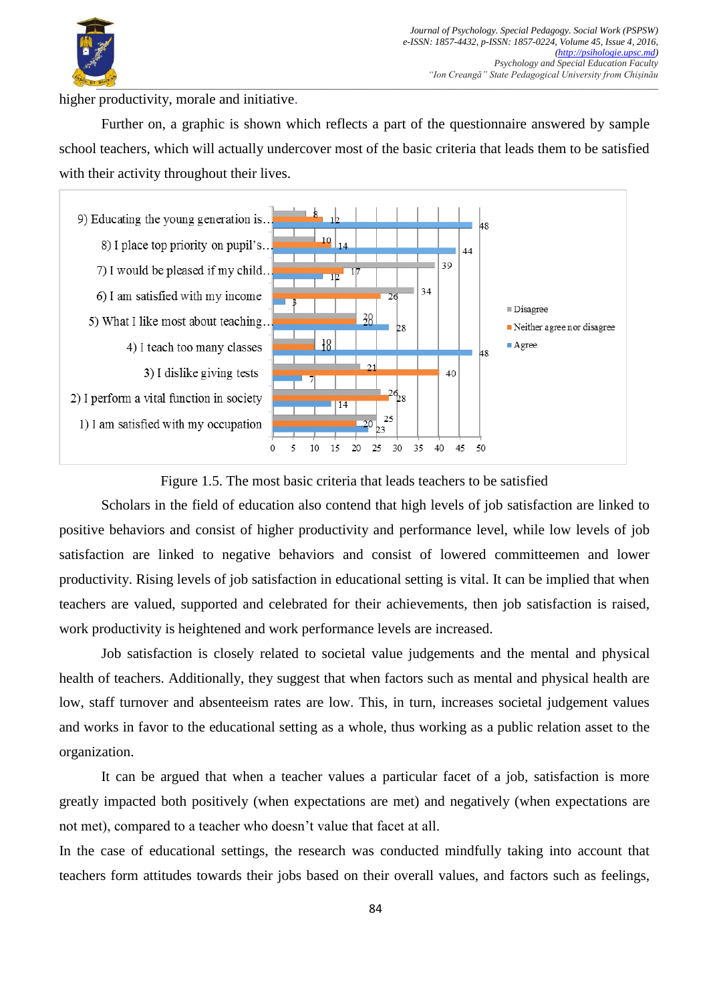

higher productivity, morale and initiative.

Further on, a graphic is shown which reflects a part of the questionnaire answered by sample school teachers, which will actually undercover most of the basic criteria that leads them to be satisfied with their activity throughout their lives.



Figure 1.5. The most basic criteria that leads teachers to be satisfied

Scholars in the field of education also contend that high levels of job satisfaction are linked to positive behaviors and consist of higher productivity and performance level, while low levels of job satisfaction are linked to negative behaviors and consist of lowered committeemen and lower productivity. Rising levels of job satisfaction in educational setting is vital. It can be implied that when teachers are valued, supported and celebrated for their achievements, then job satisfaction is raised, work productivity is heightened and work performance levels are increased.

Job satisfaction is closely related to societal value judgements and the mental and physical health of teachers. Additionally, they suggest that when factors such as mental and physical health are low, staff turnover and absenteeism rates are low. This, in turn, increases societal judgement values and works in favor to the educational setting as a whole, thus working as a public relation asset to the organization.

It can be argued that when a teacher values a particular facet of a job, satisfaction is more greatly impacted both positively (when expectations are met) and negatively (when expectations are not met), compared to a teacher who doesn't value that facet at all.

In the case of educational settings, the research was conducted mindfully taking into account that teachers form attitudes towards their jobs based on their overall values, and factors such as feelings,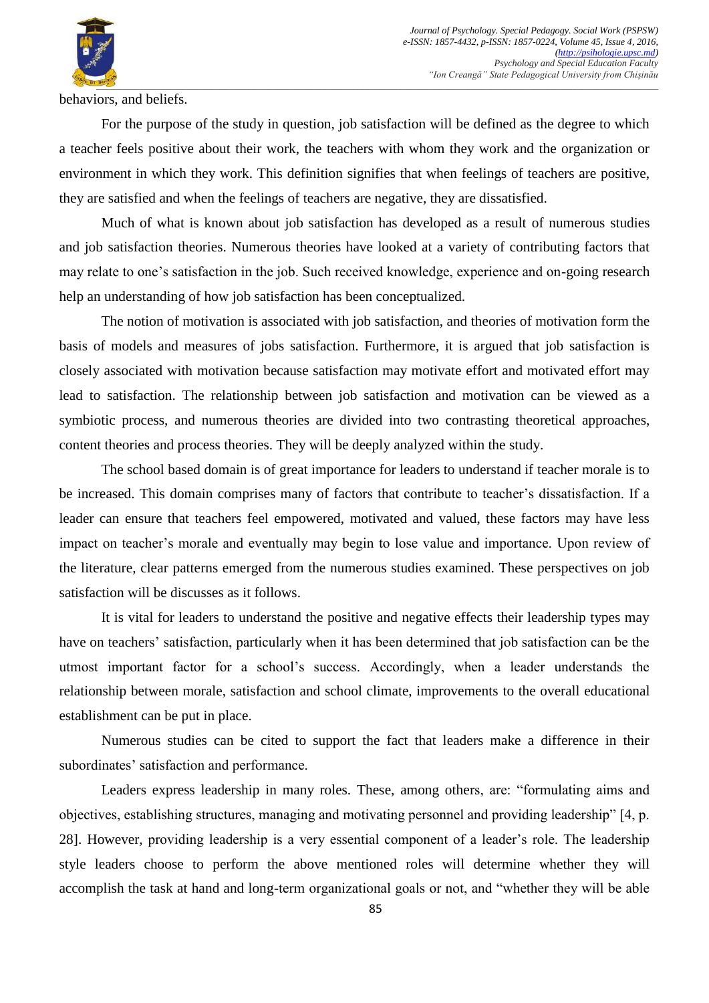

behaviors, and beliefs.

For the purpose of the study in question, job satisfaction will be defined as the degree to which a teacher feels positive about their work, the teachers with whom they work and the organization or environment in which they work. This definition signifies that when feelings of teachers are positive, they are satisfied and when the feelings of teachers are negative, they are dissatisfied.

Much of what is known about job satisfaction has developed as a result of numerous studies and job satisfaction theories. Numerous theories have looked at a variety of contributing factors that may relate to one's satisfaction in the job. Such received knowledge, experience and on-going research help an understanding of how job satisfaction has been conceptualized.

The notion of motivation is associated with job satisfaction, and theories of motivation form the basis of models and measures of jobs satisfaction. Furthermore, it is argued that job satisfaction is closely associated with motivation because satisfaction may motivate effort and motivated effort may lead to satisfaction. The relationship between job satisfaction and motivation can be viewed as a symbiotic process, and numerous theories are divided into two contrasting theoretical approaches, content theories and process theories. They will be deeply analyzed within the study.

The school based domain is of great importance for leaders to understand if teacher morale is to be increased. This domain comprises many of factors that contribute to teacher's dissatisfaction. If a leader can ensure that teachers feel empowered, motivated and valued, these factors may have less impact on teacher's morale and eventually may begin to lose value and importance. Upon review of the literature, clear patterns emerged from the numerous studies examined. These perspectives on job satisfaction will be discusses as it follows.

It is vital for leaders to understand the positive and negative effects their leadership types may have on teachers' satisfaction, particularly when it has been determined that job satisfaction can be the utmost important factor for a school's success. Accordingly, when a leader understands the relationship between morale, satisfaction and school climate, improvements to the overall educational establishment can be put in place.

Numerous studies can be cited to support the fact that leaders make a difference in their subordinates' satisfaction and performance.

Leaders express leadership in many roles. These, among others, are: "formulating aims and objectives, establishing structures, managing and motivating personnel and providing leadership" [4, p. 28]. However*,* providing leadership is a very essential component of a leader's role. The leadership style leaders choose to perform the above mentioned roles will determine whether they will accomplish the task at hand and long-term organizational goals or not, and "whether they will be able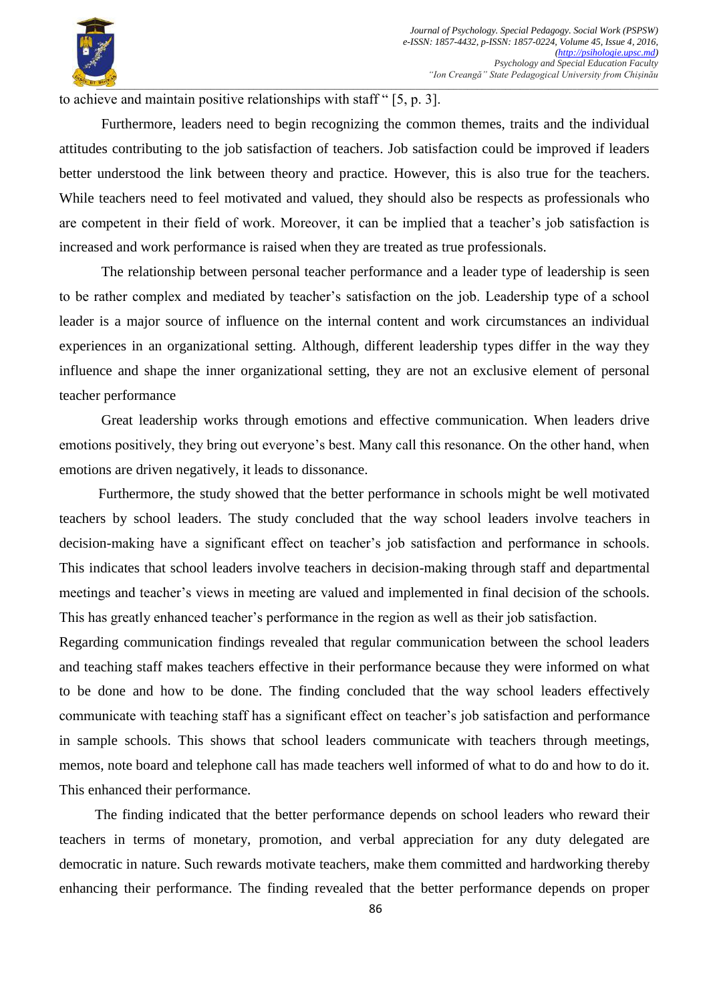

to achieve and maintain positive relationships with staff  $\degree$  [5, p. 3].

Furthermore, leaders need to begin recognizing the common themes, traits and the individual attitudes contributing to the job satisfaction of teachers. Job satisfaction could be improved if leaders better understood the link between theory and practice. However, this is also true for the teachers. While teachers need to feel motivated and valued, they should also be respects as professionals who are competent in their field of work. Moreover, it can be implied that a teacher's job satisfaction is increased and work performance is raised when they are treated as true professionals.

The relationship between personal teacher performance and a leader type of leadership is seen to be rather complex and mediated by teacher's satisfaction on the job. Leadership type of a school leader is a major source of influence on the internal content and work circumstances an individual experiences in an organizational setting. Although, different leadership types differ in the way they influence and shape the inner organizational setting, they are not an exclusive element of personal teacher performance

Great leadership works through emotions and effective communication. When leaders drive emotions positively, they bring out everyone's best. Many call this resonance. On the other hand, when emotions are driven negatively, it leads to dissonance.

 Furthermore, the study showed that the better performance in schools might be well motivated teachers by school leaders. The study concluded that the way school leaders involve teachers in decision-making have a significant effect on teacher's job satisfaction and performance in schools. This indicates that school leaders involve teachers in decision-making through staff and departmental meetings and teacher's views in meeting are valued and implemented in final decision of the schools. This has greatly enhanced teacher's performance in the region as well as their job satisfaction.

Regarding communication findings revealed that regular communication between the school leaders and teaching staff makes teachers effective in their performance because they were informed on what to be done and how to be done. The finding concluded that the way school leaders effectively communicate with teaching staff has a significant effect on teacher's job satisfaction and performance in sample schools. This shows that school leaders communicate with teachers through meetings, memos, note board and telephone call has made teachers well informed of what to do and how to do it. This enhanced their performance.

 The finding indicated that the better performance depends on school leaders who reward their teachers in terms of monetary, promotion, and verbal appreciation for any duty delegated are democratic in nature. Such rewards motivate teachers, make them committed and hardworking thereby enhancing their performance. The finding revealed that the better performance depends on proper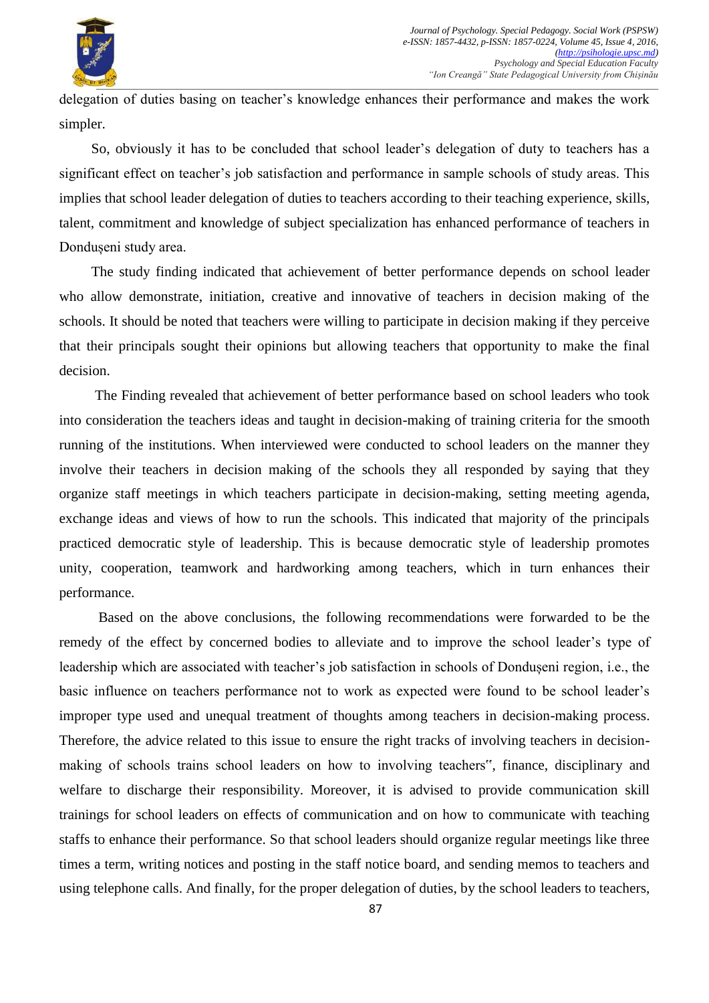

delegation of duties basing on teacher's knowledge enhances their performance and makes the work simpler.

 So, obviously it has to be concluded that school leader's delegation of duty to teachers has a significant effect on teacher's job satisfaction and performance in sample schools of study areas. This implies that school leader delegation of duties to teachers according to their teaching experience, skills, talent, commitment and knowledge of subject specialization has enhanced performance of teachers in Dondușeni study area.

 The study finding indicated that achievement of better performance depends on school leader who allow demonstrate, initiation, creative and innovative of teachers in decision making of the schools. It should be noted that teachers were willing to participate in decision making if they perceive that their principals sought their opinions but allowing teachers that opportunity to make the final decision.

 The Finding revealed that achievement of better performance based on school leaders who took into consideration the teachers ideas and taught in decision-making of training criteria for the smooth running of the institutions. When interviewed were conducted to school leaders on the manner they involve their teachers in decision making of the schools they all responded by saying that they organize staff meetings in which teachers participate in decision-making, setting meeting agenda, exchange ideas and views of how to run the schools. This indicated that majority of the principals practiced democratic style of leadership. This is because democratic style of leadership promotes unity, cooperation, teamwork and hardworking among teachers, which in turn enhances their performance.

 Based on the above conclusions, the following recommendations were forwarded to be the remedy of the effect by concerned bodies to alleviate and to improve the school leader's type of leadership which are associated with teacher's job satisfaction in schools of Dondușeni region, i.e., the basic influence on teachers performance not to work as expected were found to be school leader's improper type used and unequal treatment of thoughts among teachers in decision-making process. Therefore, the advice related to this issue to ensure the right tracks of involving teachers in decisionmaking of schools trains school leaders on how to involving teachers", finance, disciplinary and welfare to discharge their responsibility. Moreover, it is advised to provide communication skill trainings for school leaders on effects of communication and on how to communicate with teaching staffs to enhance their performance. So that school leaders should organize regular meetings like three times a term, writing notices and posting in the staff notice board, and sending memos to teachers and using telephone calls. And finally, for the proper delegation of duties, by the school leaders to teachers,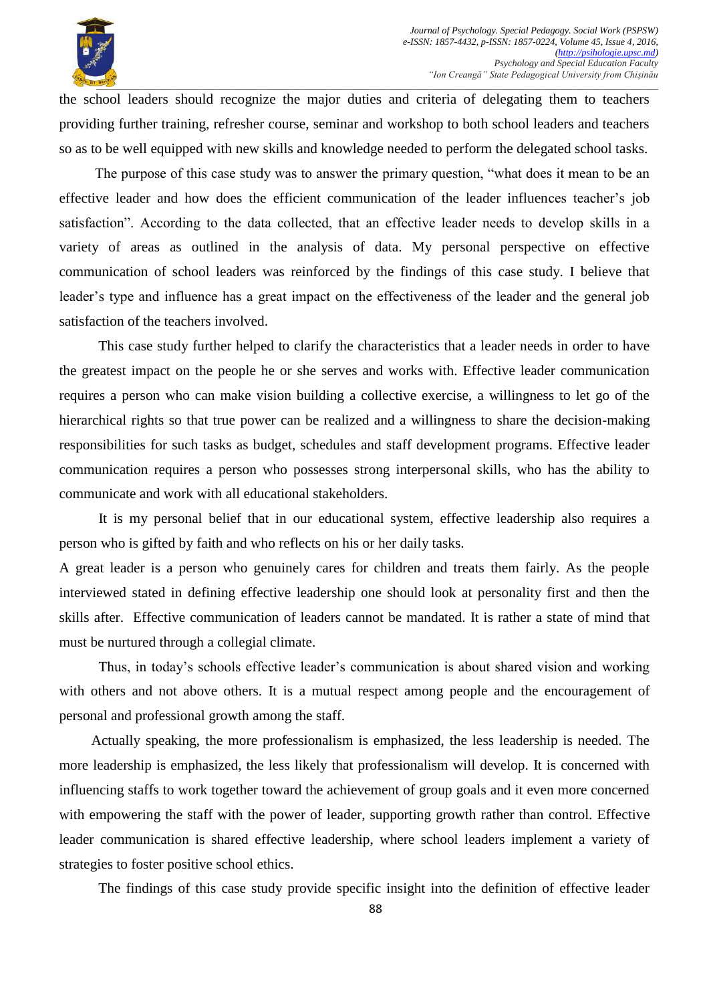

the school leaders should recognize the major duties and criteria of delegating them to teachers providing further training, refresher course, seminar and workshop to both school leaders and teachers so as to be well equipped with new skills and knowledge needed to perform the delegated school tasks.

The purpose of this case study was to answer the primary question, "what does it mean to be an effective leader and how does the efficient communication of the leader influences teacher's job satisfaction". According to the data collected, that an effective leader needs to develop skills in a variety of areas as outlined in the analysis of data. My personal perspective on effective communication of school leaders was reinforced by the findings of this case study. I believe that leader's type and influence has a great impact on the effectiveness of the leader and the general job satisfaction of the teachers involved.

 This case study further helped to clarify the characteristics that a leader needs in order to have the greatest impact on the people he or she serves and works with. Effective leader communication requires a person who can make vision building a collective exercise, a willingness to let go of the hierarchical rights so that true power can be realized and a willingness to share the decision-making responsibilities for such tasks as budget, schedules and staff development programs. Effective leader communication requires a person who possesses strong interpersonal skills, who has the ability to communicate and work with all educational stakeholders.

 It is my personal belief that in our educational system, effective leadership also requires a person who is gifted by faith and who reflects on his or her daily tasks.

A great leader is a person who genuinely cares for children and treats them fairly. As the people interviewed stated in defining effective leadership one should look at personality first and then the skills after. Effective communication of leaders cannot be mandated. It is rather a state of mind that must be nurtured through a collegial climate.

 Thus, in today's schools effective leader's communication is about shared vision and working with others and not above others. It is a mutual respect among people and the encouragement of personal and professional growth among the staff.

 Actually speaking, the more professionalism is emphasized, the less leadership is needed. The more leadership is emphasized, the less likely that professionalism will develop. It is concerned with influencing staffs to work together toward the achievement of group goals and it even more concerned with empowering the staff with the power of leader, supporting growth rather than control. Effective leader communication is shared effective leadership, where school leaders implement a variety of strategies to foster positive school ethics.

The findings of this case study provide specific insight into the definition of effective leader